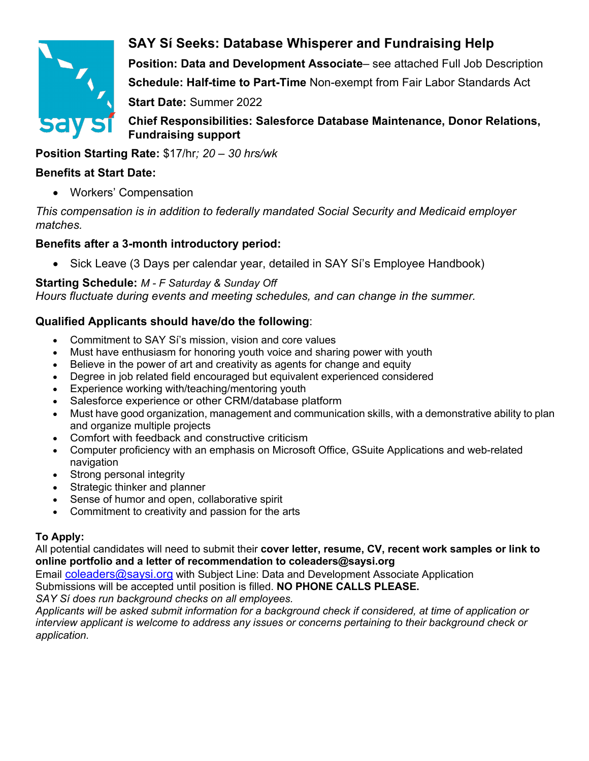

# **SAY Sí Seeks: Database Whisperer and Fundraising Help**

**Position: Data and Development Associate**– see attached Full Job Description **Schedule: Half-time to Part-Time** Non-exempt from Fair Labor Standards Act **Start Date:** Summer 2022

**Chief Responsibilities: Salesforce Database Maintenance, Donor Relations, Fundraising support**

### **Position Starting Rate:** \$17/hr*; 20 – 30 hrs/wk*

#### **Benefits at Start Date:**

• Workers' Compensation

*This compensation is in addition to federally mandated Social Security and Medicaid employer matches.*

## **Benefits after a 3-month introductory period:**

• Sick Leave (3 Days per calendar year, detailed in SAY Si's Employee Handbook)

**Starting Schedule:** *M - F Saturday & Sunday Off Hours fluctuate during events and meeting schedules, and can change in the summer.*

# **Qualified Applicants should have/do the following**:

- Commitment to SAY Sí's mission, vision and core values
- Must have enthusiasm for honoring youth voice and sharing power with youth
- Believe in the power of art and creativity as agents for change and equity
- Degree in job related field encouraged but equivalent experienced considered
- Experience working with/teaching/mentoring youth
- Salesforce experience or other CRM/database platform
- Must have good organization, management and communication skills, with a demonstrative ability to plan and organize multiple projects
- Comfort with feedback and constructive criticism
- Computer proficiency with an emphasis on Microsoft Office, GSuite Applications and web-related navigation
- Strong personal integrity
- Strategic thinker and planner
- Sense of humor and open, collaborative spirit
- Commitment to creativity and passion for the arts

#### **To Apply:**

All potential candidates will need to submit their **cover letter, resume, CV, recent work samples or link to online portfolio and a letter of recommendation to coleaders@saysi.org**

Email coleaders@saysi.org with Subject Line: Data and Development Associate Application

Submissions will be accepted until position is filled. **NO PHONE CALLS PLEASE.** 

*SAY Sí does run background checks on all employees.*

*Applicants will be asked submit information for a background check if considered, at time of application or interview applicant is welcome to address any issues or concerns pertaining to their background check or application.*